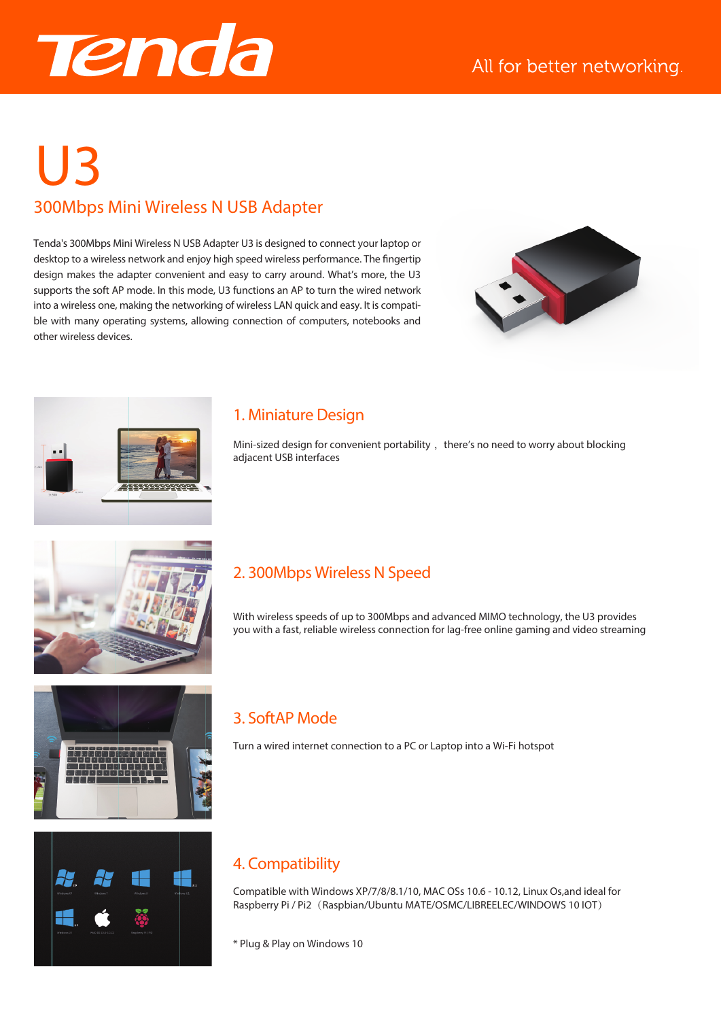

# 300Mbps Mini Wireless N USB Adapter U3

Tenda's 300Mbps Mini Wireless N USB Adapter U3 is designed to connect your laptop or desktop to a wireless network and enjoy high speed wireless performance. The fingertip design makes the adapter convenient and easy to carry around. What's more, the U3 supports the soft AP mode. In this mode, U3 functions an AP to turn the wired network into a wireless one, making the networking of wireless LAN quick and easy. It is compatible with many operating systems, allowing connection of computers, notebooks and other wireless devices.





#### 1. Miniature Design

Mini-sized design for convenient portability, there's no need to worry about blocking adjacent USB interfaces



# 2. 300Mbps Wireless N Speed

With wireless speeds of up to 300Mbps and advanced MIMO technology, the U3 provides you with a fast, reliable wireless connection for lag-free online gaming and video streaming





## 3. SoftAP Mode

Turn a wired internet connection to a PC or Laptop into a Wi-Fi hotspot

## 4. Compatibility

Compatible with Windows XP/7/8/8.1/10, MAC OSs 10.6 - 10.12, Linux Os,and ideal for Raspberry Pi / Pi2 (Raspbian/Ubuntu MATE/OSMC/LIBREELEC/WINDOWS 10 IOT)

\* Plug & Play on Windows 10